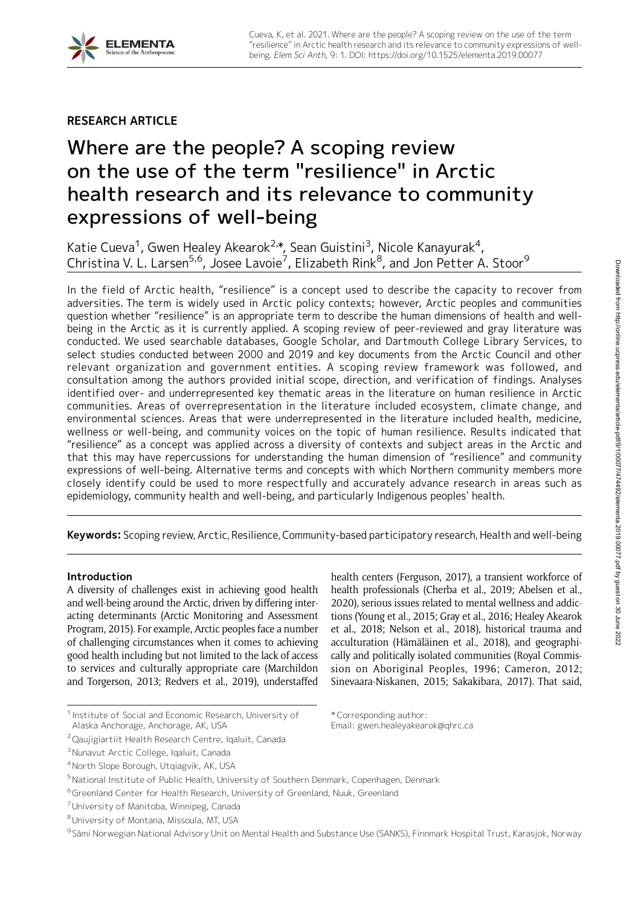## RESEARCH ARTICLE

# Where are the people? A scoping review on the use of the term "resilience" in Arctic health research and its relevance to community expressions of well-being

Katie Cueva<sup>1</sup>, Gwen Healey Akearok<sup>2,</sup>\*, Sean Guistini<sup>3</sup>, Nicole Kanayurak<sup>4</sup>, Christina V. L. Larsen<sup>5,6</sup>, Josee Lavoie<sup>7</sup>, Elizabeth Rink<sup>8</sup>, and Jon Petter A. Stoor<sup>9</sup>

In the field of Arctic health, "resilience" is a concept used to describe the capacity to recover from adversities. The term is widely used in Arctic policy contexts; however, Arctic peoples and communities question whether "resilience" is an appropriate term to describe the human dimensions of health and wellbeing in the Arctic as it is currently applied. A scoping review of peer-reviewed and gray literature was conducted. We used searchable databases, Google Scholar, and Dartmouth College Library Services, to select studies conducted between 2000 and 2019 and key documents from the Arctic Council and other relevant organization and government entities. A scoping review framework was followed, and consultation among the authors provided initial scope, direction, and verification of findings. Analyses identified over- and underrepresented key thematic areas in the literature on human resilience in Arctic communities. Areas of overrepresentation in the literature included ecosystem, climate change, and environmental sciences. Areas that were underrepresented in the literature included health, medicine, wellness or well-being, and community voices on the topic of human resilience. Results indicated that "resilience" as a concept was applied across a diversity of contexts and subject areas in the Arctic and that this may have repercussions for understanding the human dimension of "resilience" and community expressions of well-being. Alternative terms and concepts with which Northern community members more closely identify could be used to more respectfully and accurately advance research in areas such as epidemiology, community health and well-being, and particularly Indigenous peoples' health.

Keywords: Scoping review, Arctic, Resilience, Community-based participatory research, Health and well-being

## Introduction

A diversity of challenges exist in achieving good health and well-being around the Arctic, driven by differing interacting determinants (Arctic Monitoring and Assessment Program, 2015). For example, Arctic peoples face a number of challenging circumstances when it comes to achieving good health including but not limited to the lack of access to services and culturally appropriate care (Marchildon and Torgerson, 2013; Redvers et al., 2019), understaffed

\* Corresponding author:

Email: gwen.healeyakearok@qhrc.ca

health centers (Ferguson, 2017), a transient workforce of health professionals (Cherba et al., 2019; Abelsen et al., 2020), serious issues related to mental wellness and addictions (Young et al., 2015; Gray et al., 2016; Healey Akearok et al., 2018; Nelson et al., 2018), historical trauma and acculturation (Hämäläinen et al., 2018), and geographically and politically isolated communities (Royal Commission on Aboriginal Peoples, 1996; Cameron, 2012; Sinevaara-Niskanen, 2015; Sakakibara, 2017). That said, Downloaded from http://online.ucpress.edu/elementa/article-pdf/9/1/00077/474492/elementa.2019.00077.pdf by guest on 30 June 2022



<sup>&</sup>lt;sup>1</sup> Institute of Social and Economic Research, University of Alaska Anchorage, Anchorage, AK, USA

<sup>&</sup>lt;sup>2</sup> Qaujigiartiit Health Research Centre, Iqaluit, Canada

<sup>&</sup>lt;sup>3</sup> Nunavut Arctic College, Iqaluit, Canada

<sup>4</sup>North Slope Borough, Utqiagvik, AK, USA

<sup>&</sup>lt;sup>5</sup>National Institute of Public Health, University of Southern Denmark, Copenhagen, Denmark

<sup>6</sup>Greenland Center for Health Research, University of Greenland, Nuuk, Greenland

<sup>7</sup>University of Manitoba, Winnipeg, Canada

<sup>8</sup>University of Montana, Missoula, MT, USA

<sup>9</sup> Sámi Norwegian National Advisory Unit on Mental Health and Substance Use (SANKS), Finnmark Hospital Trust, Karasjok, Norway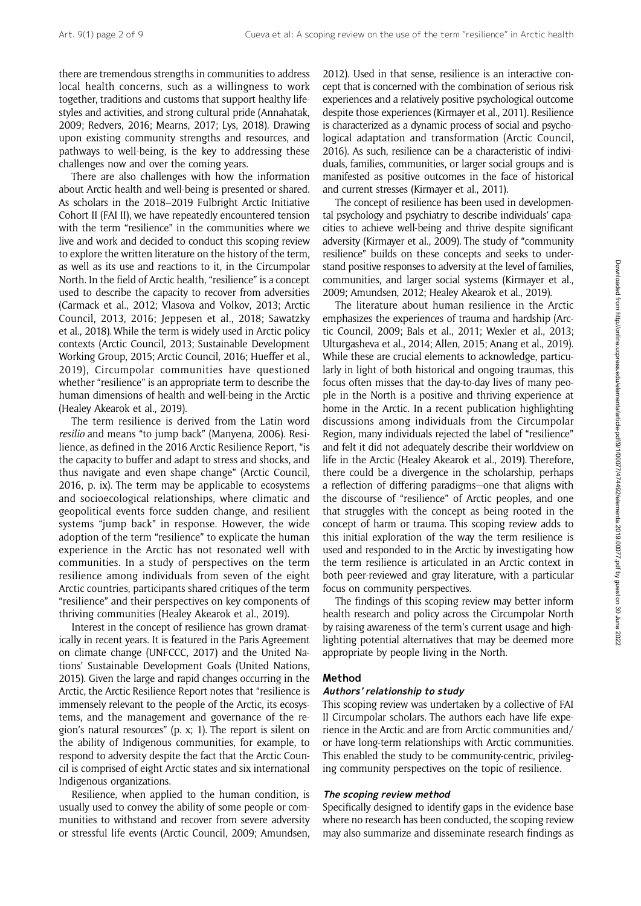there are tremendous strengths in communities to address local health concerns, such as a willingness to work together, traditions and customs that support healthy lifestyles and activities, and strong cultural pride (Annahatak, 2009; Redvers, 2016; Mearns, 2017; Lys, 2018). Drawing upon existing community strengths and resources, and pathways to well-being, is the key to addressing these challenges now and over the coming years.

There are also challenges with how the information about Arctic health and well-being is presented or shared. As scholars in the 2018–2019 Fulbright Arctic Initiative Cohort II (FAI II), we have repeatedly encountered tension with the term "resilience" in the communities where we live and work and decided to conduct this scoping review to explore the written literature on the history of the term, as well as its use and reactions to it, in the Circumpolar North. In the field of Arctic health, "resilience" is a concept used to describe the capacity to recover from adversities (Carmack et al., 2012; Vlasova and Volkov, 2013; Arctic Council, 2013, 2016; Jeppesen et al., 2018; Sawatzky et al., 2018). While the term is widely used in Arctic policy contexts (Arctic Council, 2013; Sustainable Development Working Group, 2015; Arctic Council, 2016; Hueffer et al., 2019), Circumpolar communities have questioned whether "resilience" is an appropriate term to describe the human dimensions of health and well-being in the Arctic (Healey Akearok et al., 2019).

The term resilience is derived from the Latin word resilio and means "to jump back" (Manyena, 2006). Resilience, as defined in the 2016 Arctic Resilience Report, "is the capacity to buffer and adapt to stress and shocks, and thus navigate and even shape change" (Arctic Council, 2016, p. ix). The term may be applicable to ecosystems and socioecological relationships, where climatic and geopolitical events force sudden change, and resilient systems "jump back" in response. However, the wide adoption of the term "resilience" to explicate the human experience in the Arctic has not resonated well with communities. In a study of perspectives on the term resilience among individuals from seven of the eight Arctic countries, participants shared critiques of the term "resilience" and their perspectives on key components of thriving communities (Healey Akearok et al., 2019).

Interest in the concept of resilience has grown dramatically in recent years. It is featured in the Paris Agreement on climate change (UNFCCC, 2017) and the United Nations' Sustainable Development Goals (United Nations, 2015). Given the large and rapid changes occurring in the Arctic, the Arctic Resilience Report notes that "resilience is immensely relevant to the people of the Arctic, its ecosystems, and the management and governance of the region's natural resources" (p. x; 1). The report is silent on the ability of Indigenous communities, for example, to respond to adversity despite the fact that the Arctic Council is comprised of eight Arctic states and six international Indigenous organizations.

Resilience, when applied to the human condition, is usually used to convey the ability of some people or communities to withstand and recover from severe adversity or stressful life events (Arctic Council, 2009; Amundsen, 2012). Used in that sense, resilience is an interactive concept that is concerned with the combination of serious risk experiences and a relatively positive psychological outcome despite those experiences (Kirmayer et al., 2011). Resilience is characterized as a dynamic process of social and psychological adaptation and transformation (Arctic Council, 2016). As such, resilience can be a characteristic of individuals, families, communities, or larger social groups and is manifested as positive outcomes in the face of historical and current stresses (Kirmayer et al., 2011).

The concept of resilience has been used in developmental psychology and psychiatry to describe individuals' capacities to achieve well-being and thrive despite significant adversity (Kirmayer et al., 2009). The study of "community resilience" builds on these concepts and seeks to understand positive responses to adversity at the level of families, communities, and larger social systems (Kirmayer et al., 2009; Amundsen, 2012; Healey Akearok et al., 2019).

The literature about human resilience in the Arctic emphasizes the experiences of trauma and hardship (Arctic Council, 2009; Bals et al., 2011; Wexler et al., 2013; Ulturgasheva et al., 2014; Allen, 2015; Anang et al., 2019). While these are crucial elements to acknowledge, particularly in light of both historical and ongoing traumas, this focus often misses that the day-to-day lives of many people in the North is a positive and thriving experience at home in the Arctic. In a recent publication highlighting discussions among individuals from the Circumpolar Region, many individuals rejected the label of "resilience" and felt it did not adequately describe their worldview on life in the Arctic (Healey Akearok et al., 2019). Therefore, there could be a divergence in the scholarship, perhaps a reflection of differing paradigms—one that aligns with the discourse of "resilience" of Arctic peoples, and one that struggles with the concept as being rooted in the concept of harm or trauma. This scoping review adds to this initial exploration of the way the term resilience is used and responded to in the Arctic by investigating how the term resilience is articulated in an Arctic context in both peer-reviewed and gray literature, with a particular focus on community perspectives.

The findings of this scoping review may better inform health research and policy across the Circumpolar North by raising awareness of the term's current usage and highlighting potential alternatives that may be deemed more appropriate by people living in the North.

#### Method

#### Authors' relationship to study

This scoping review was undertaken by a collective of FAI II Circumpolar scholars. The authors each have life experience in the Arctic and are from Arctic communities and/ or have long-term relationships with Arctic communities. This enabled the study to be community-centric, privileging community perspectives on the topic of resilience.

### The scoping review method

Specifically designed to identify gaps in the evidence base where no research has been conducted, the scoping review may also summarize and disseminate research findings as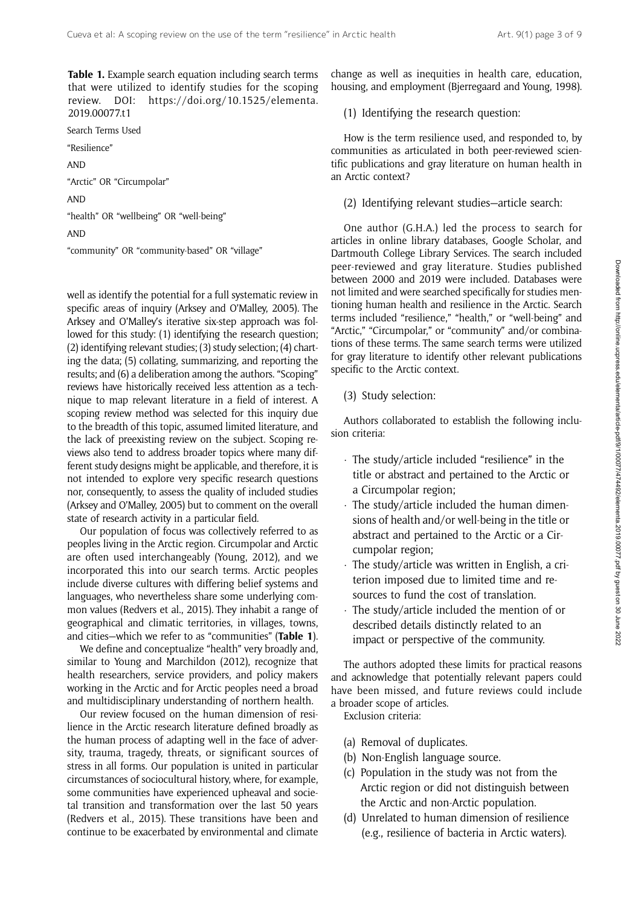Table 1. Example search equation including search terms that were utilized to identify studies for the scoping review. DOI: https://doi.org/10.1525/elementa. 2019.00077.t1

Search Terms Used

"Resilience"

AND

"Arctic" OR "Circumpolar"

AND

"health" OR "wellbeing" OR "well-being"

AND

"community" OR "community-based" OR "village"

well as identify the potential for a full systematic review in specific areas of inquiry (Arksey and O'Malley, 2005). The Arksey and O'Malley's iterative six-step approach was followed for this study: (1) identifying the research question; (2) identifying relevant studies; (3) study selection; (4) charting the data; (5) collating, summarizing, and reporting the results; and (6) a deliberation among the authors. "Scoping" reviews have historically received less attention as a technique to map relevant literature in a field of interest. A scoping review method was selected for this inquiry due to the breadth of this topic, assumed limited literature, and the lack of preexisting review on the subject. Scoping reviews also tend to address broader topics where many different study designs might be applicable, and therefore, it is not intended to explore very specific research questions nor, consequently, to assess the quality of included studies (Arksey and O'Malley, 2005) but to comment on the overall state of research activity in a particular field.

Our population of focus was collectively referred to as peoples living in the Arctic region. Circumpolar and Arctic are often used interchangeably (Young, 2012), and we incorporated this into our search terms. Arctic peoples include diverse cultures with differing belief systems and languages, who nevertheless share some underlying common values (Redvers et al., 2015). They inhabit a range of geographical and climatic territories, in villages, towns, and cities—which we refer to as "communities" (Table 1).

We define and conceptualize "health" very broadly and, similar to Young and Marchildon (2012), recognize that health researchers, service providers, and policy makers working in the Arctic and for Arctic peoples need a broad and multidisciplinary understanding of northern health.

Our review focused on the human dimension of resilience in the Arctic research literature defined broadly as the human process of adapting well in the face of adversity, trauma, tragedy, threats, or significant sources of stress in all forms. Our population is united in particular circumstances of sociocultural history, where, for example, some communities have experienced upheaval and societal transition and transformation over the last 50 years (Redvers et al., 2015). These transitions have been and continue to be exacerbated by environmental and climate

change as well as inequities in health care, education, housing, and employment (Bjerregaard and Young, 1998).

(1) Identifying the research question:

How is the term resilience used, and responded to, by communities as articulated in both peer-reviewed scientific publications and gray literature on human health in an Arctic context?

(2) Identifying relevant studies—article search:

One author (G.H.A.) led the process to search for articles in online library databases, Google Scholar, and Dartmouth College Library Services. The search included peer-reviewed and gray literature. Studies published between 2000 and 2019 were included. Databases were not limited and were searched specifically for studies mentioning human health and resilience in the Arctic. Search terms included "resilience," "health," or "well-being" and "Arctic," "Circumpolar," or "community" and/or combinations of these terms. The same search terms were utilized for gray literature to identify other relevant publications specific to the Arctic context.

(3) Study selection:

Authors collaborated to establish the following inclusion criteria:

- The study/article included "resilience" in the title or abstract and pertained to the Arctic or a Circumpolar region;
- The study/article included the human dimensions of health and/or well-being in the title or abstract and pertained to the Arctic or a Circumpolar region;
- The study/article was written in English, a criterion imposed due to limited time and resources to fund the cost of translation.
- The study/article included the mention of or described details distinctly related to an impact or perspective of the community.

The authors adopted these limits for practical reasons and acknowledge that potentially relevant papers could have been missed, and future reviews could include a broader scope of articles.

Exclusion criteria:

- (a) Removal of duplicates.
- (b) Non-English language source.
- (c) Population in the study was not from the Arctic region or did not distinguish between the Arctic and non-Arctic population.
- (d) Unrelated to human dimension of resilience (e.g., resilience of bacteria in Arctic waters).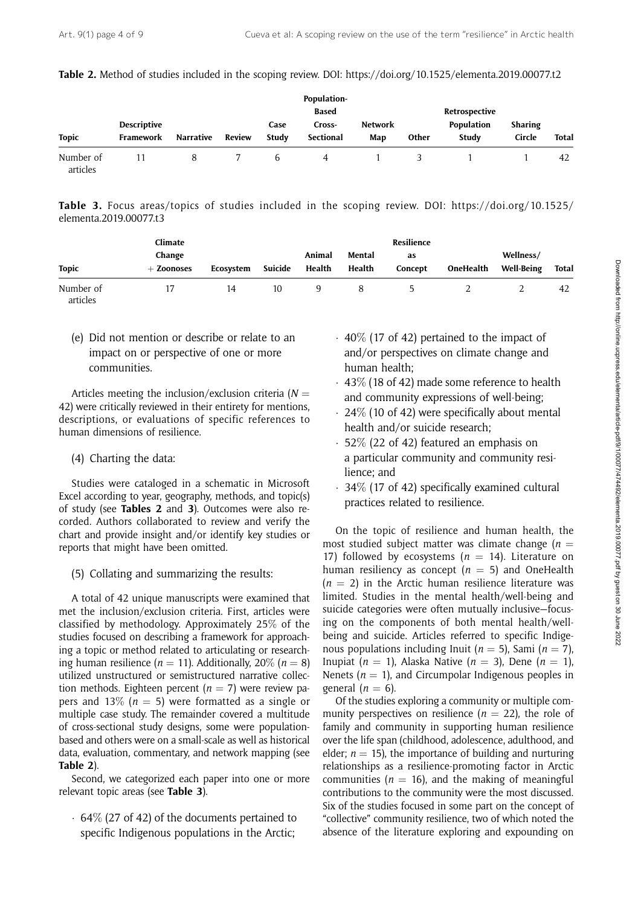| Table 2. Method of studies included in the scoping review. DOI: https://doi.org/10.1525/elementa.2019.00077.t2 |  |  |  |
|----------------------------------------------------------------------------------------------------------------|--|--|--|
|----------------------------------------------------------------------------------------------------------------|--|--|--|

|                       |                                 |                  |               | Population-<br><b>Based</b> |                     |                |       | Retrospective       |                   |              |
|-----------------------|---------------------------------|------------------|---------------|-----------------------------|---------------------|----------------|-------|---------------------|-------------------|--------------|
| <b>Topic</b>          | <b>Descriptive</b><br>Framework | <b>Narrative</b> | <b>Review</b> | Case<br>Study               | Cross-<br>Sectional | Network<br>Map | Other | Population<br>Study | Sharing<br>Circle | <b>Total</b> |
| Number of<br>articles |                                 | 8                |               | h                           | 4                   |                |       |                     |                   | 42           |

Table 3. Focus areas/topics of studies included in the scoping review. DOI: https://doi.org/10.1525/ elementa.2019.00077.t3

| <b>Topic</b> | Climate<br>Change<br>$+$ Zoonoses | Ecosystem | Suicide | Animal<br>Health | Mental<br>Health | Resilience<br>as<br>Concept | OneHealth | Wellness/<br><b>Well-Being</b> | <b>Total</b> |
|--------------|-----------------------------------|-----------|---------|------------------|------------------|-----------------------------|-----------|--------------------------------|--------------|
|              |                                   |           |         |                  |                  |                             |           |                                |              |

(e) Did not mention or describe or relate to an impact on or perspective of one or more communities.

Articles meeting the inclusion/exclusion criteria ( $N =$ 42) were critically reviewed in their entirety for mentions, descriptions, or evaluations of specific references to human dimensions of resilience.

(4) Charting the data:

Studies were cataloged in a schematic in Microsoft Excel according to year, geography, methods, and topic(s) of study (see Tables 2 and 3). Outcomes were also recorded. Authors collaborated to review and verify the chart and provide insight and/or identify key studies or reports that might have been omitted.

(5) Collating and summarizing the results:

A total of 42 unique manuscripts were examined that met the inclusion/exclusion criteria. First, articles were classified by methodology. Approximately 25% of the studies focused on describing a framework for approaching a topic or method related to articulating or researching human resilience ( $n = 11$ ). Additionally, 20% ( $n = 8$ ) utilized unstructured or semistructured narrative collection methods. Eighteen percent ( $n = 7$ ) were review papers and 13% ( $n = 5$ ) were formatted as a single or multiple case study. The remainder covered a multitude of cross-sectional study designs, some were populationbased and others were on a small-scale as well as historical data, evaluation, commentary, and network mapping (see Table 2).

Second, we categorized each paper into one or more relevant topic areas (see Table 3).

- 64% (27 of 42) of the documents pertained to specific Indigenous populations in the Arctic;

- 40% (17 of 42) pertained to the impact of and/or perspectives on climate change and human health;
- $\cdot\,$  43 $\%$  (18 of 42) made some reference to health and community expressions of well-being;
- 24% (10 of 42) were specifically about mental health and/or suicide research;
- 52% (22 of 42) featured an emphasis on a particular community and community resilience; and
- 34% (17 of 42) specifically examined cultural practices related to resilience.

On the topic of resilience and human health, the most studied subject matter was climate change ( $n =$ 17) followed by ecosystems ( $n = 14$ ). Literature on human resiliency as concept ( $n = 5$ ) and OneHealth  $(n = 2)$  in the Arctic human resilience literature was limited. Studies in the mental health/well-being and suicide categories were often mutually inclusive—focusing on the components of both mental health/wellbeing and suicide. Articles referred to specific Indigenous populations including Inuit ( $n = 5$ ), Sami ( $n = 7$ ), Inupiat ( $n = 1$ ), Alaska Native ( $n = 3$ ), Dene ( $n = 1$ ), Nenets ( $n = 1$ ), and Circumpolar Indigenous peoples in general  $(n = 6)$ .

Of the studies exploring a community or multiple community perspectives on resilience  $(n = 22)$ , the role of family and community in supporting human resilience over the life span (childhood, adolescence, adulthood, and elder;  $n = 15$ ), the importance of building and nurturing relationships as a resilience-promoting factor in Arctic communities ( $n = 16$ ), and the making of meaningful contributions to the community were the most discussed. Six of the studies focused in some part on the concept of "collective" community resilience, two of which noted the absence of the literature exploring and expounding on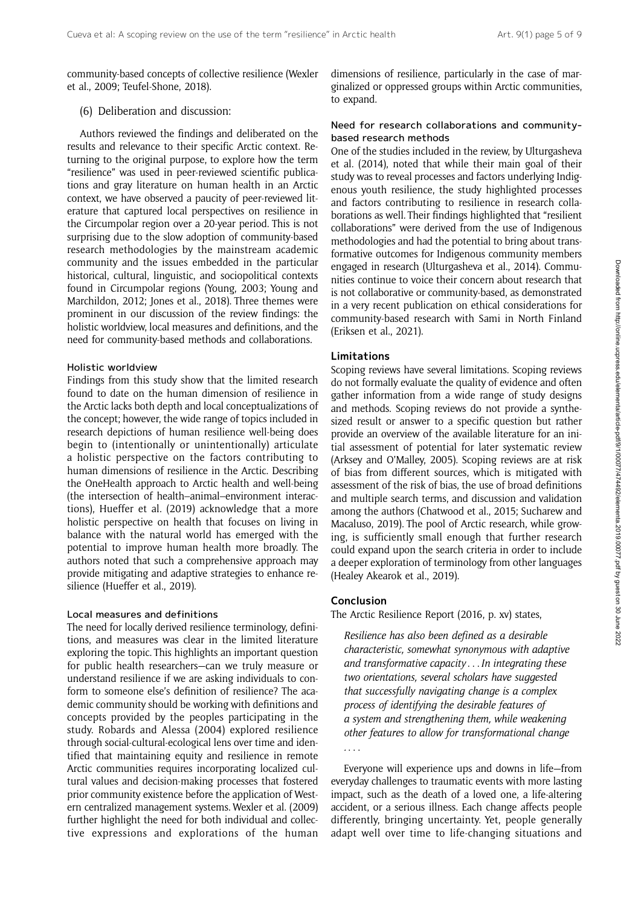community-based concepts of collective resilience (Wexler et al., 2009; Teufel-Shone, 2018).

## (6) Deliberation and discussion:

Authors reviewed the findings and deliberated on the results and relevance to their specific Arctic context. Returning to the original purpose, to explore how the term "resilience" was used in peer-reviewed scientific publications and gray literature on human health in an Arctic context, we have observed a paucity of peer-reviewed literature that captured local perspectives on resilience in the Circumpolar region over a 20-year period. This is not surprising due to the slow adoption of community-based research methodologies by the mainstream academic community and the issues embedded in the particular historical, cultural, linguistic, and sociopolitical contexts found in Circumpolar regions (Young, 2003; Young and Marchildon, 2012; Jones et al., 2018). Three themes were prominent in our discussion of the review findings: the holistic worldview, local measures and definitions, and the need for community-based methods and collaborations.

#### Holistic worldview

Findings from this study show that the limited research found to date on the human dimension of resilience in the Arctic lacks both depth and local conceptualizations of the concept; however, the wide range of topics included in research depictions of human resilience well-being does begin to (intentionally or unintentionally) articulate a holistic perspective on the factors contributing to human dimensions of resilience in the Arctic. Describing the OneHealth approach to Arctic health and well-being (the intersection of health–animal–environment interactions), Hueffer et al. (2019) acknowledge that a more holistic perspective on health that focuses on living in balance with the natural world has emerged with the potential to improve human health more broadly. The authors noted that such a comprehensive approach may provide mitigating and adaptive strategies to enhance resilience (Hueffer et al., 2019).

## Local measures and definitions

The need for locally derived resilience terminology, definitions, and measures was clear in the limited literature exploring the topic. This highlights an important question for public health researchers—can we truly measure or understand resilience if we are asking individuals to conform to someone else's definition of resilience? The academic community should be working with definitions and concepts provided by the peoples participating in the study. Robards and Alessa (2004) explored resilience through social-cultural-ecological lens over time and identified that maintaining equity and resilience in remote Arctic communities requires incorporating localized cultural values and decision-making processes that fostered prior community existence before the application of Western centralized management systems. Wexler et al. (2009) further highlight the need for both individual and collective expressions and explorations of the human

dimensions of resilience, particularly in the case of marginalized or oppressed groups within Arctic communities, to expand.

## Need for research collaborations and communitybased research methods

One of the studies included in the review, by Ulturgasheva et al. (2014), noted that while their main goal of their study was to reveal processes and factors underlying Indigenous youth resilience, the study highlighted processes and factors contributing to resilience in research collaborations as well. Their findings highlighted that "resilient collaborations" were derived from the use of Indigenous methodologies and had the potential to bring about transformative outcomes for Indigenous community members engaged in research (Ulturgasheva et al., 2014). Communities continue to voice their concern about research that is not collaborative or community-based, as demonstrated in a very recent publication on ethical considerations for community-based research with Sami in North Finland (Eriksen et al., 2021).

## Limitations

Scoping reviews have several limitations. Scoping reviews do not formally evaluate the quality of evidence and often gather information from a wide range of study designs and methods. Scoping reviews do not provide a synthesized result or answer to a specific question but rather provide an overview of the available literature for an initial assessment of potential for later systematic review (Arksey and O'Malley, 2005). Scoping reviews are at risk of bias from different sources, which is mitigated with assessment of the risk of bias, the use of broad definitions and multiple search terms, and discussion and validation among the authors (Chatwood et al., 2015; Sucharew and Macaluso, 2019). The pool of Arctic research, while growing, is sufficiently small enough that further research could expand upon the search criteria in order to include a deeper exploration of terminology from other languages (Healey Akearok et al., 2019).

#### Conclusion

The Arctic Resilience Report (2016, p. xv) states,

Resilience has also been defined as a desirable characteristic, somewhat synonymous with adaptive and transformative capacity ...In integrating these two orientations, several scholars have suggested that successfully navigating change is a complex process of identifying the desirable features of a system and strengthening them, while weakening other features to allow for transformational change . ...

Everyone will experience ups and downs in life—from everyday challenges to traumatic events with more lasting impact, such as the death of a loved one, a life-altering accident, or a serious illness. Each change affects people differently, bringing uncertainty. Yet, people generally adapt well over time to life-changing situations and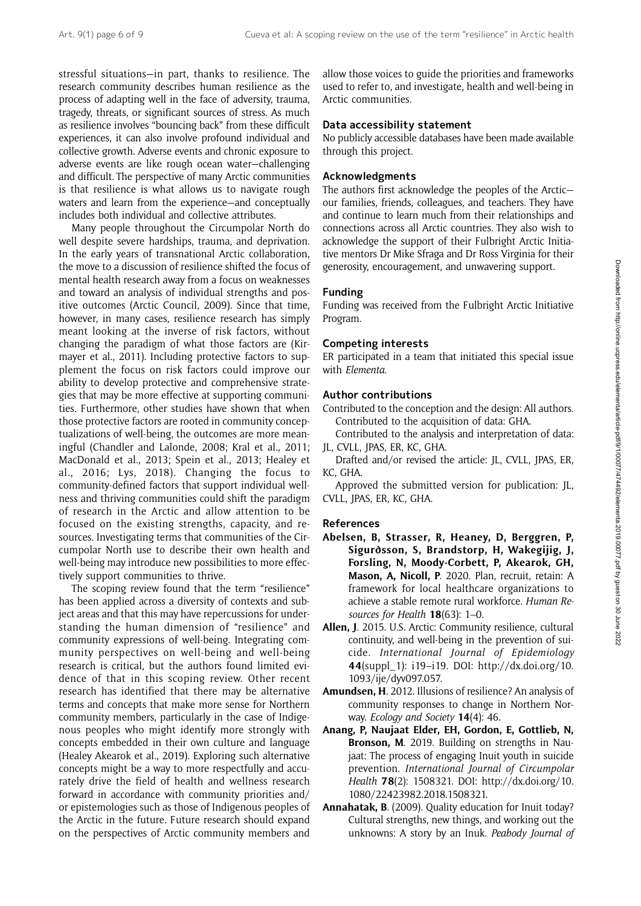stressful situations—in part, thanks to resilience. The research community describes human resilience as the process of adapting well in the face of adversity, trauma, tragedy, threats, or significant sources of stress. As much as resilience involves "bouncing back" from these difficult experiences, it can also involve profound individual and collective growth. Adverse events and chronic exposure to adverse events are like rough ocean water—challenging and difficult. The perspective of many Arctic communities is that resilience is what allows us to navigate rough waters and learn from the experience—and conceptually includes both individual and collective attributes.

Many people throughout the Circumpolar North do well despite severe hardships, trauma, and deprivation. In the early years of transnational Arctic collaboration, the move to a discussion of resilience shifted the focus of mental health research away from a focus on weaknesses and toward an analysis of individual strengths and positive outcomes (Arctic Council, 2009). Since that time, however, in many cases, resilience research has simply meant looking at the inverse of risk factors, without changing the paradigm of what those factors are (Kirmayer et al., 2011). Including protective factors to supplement the focus on risk factors could improve our ability to develop protective and comprehensive strategies that may be more effective at supporting communities. Furthermore, other studies have shown that when those protective factors are rooted in community conceptualizations of well-being, the outcomes are more meaningful (Chandler and Lalonde, 2008; Kral et al., 2011; MacDonald et al., 2013; Spein et al., 2013; Healey et al., 2016; Lys, 2018). Changing the focus to community-defined factors that support individual wellness and thriving communities could shift the paradigm of research in the Arctic and allow attention to be focused on the existing strengths, capacity, and resources. Investigating terms that communities of the Circumpolar North use to describe their own health and well-being may introduce new possibilities to more effectively support communities to thrive.

The scoping review found that the term "resilience" has been applied across a diversity of contexts and subject areas and that this may have repercussions for understanding the human dimension of "resilience" and community expressions of well-being. Integrating community perspectives on well-being and well-being research is critical, but the authors found limited evidence of that in this scoping review. Other recent research has identified that there may be alternative terms and concepts that make more sense for Northern community members, particularly in the case of Indigenous peoples who might identify more strongly with concepts embedded in their own culture and language (Healey Akearok et al., 2019). Exploring such alternative concepts might be a way to more respectfully and accurately drive the field of health and wellness research forward in accordance with community priorities and/ or epistemologies such as those of Indigenous peoples of the Arctic in the future. Future research should expand on the perspectives of Arctic community members and

allow those voices to guide the priorities and frameworks used to refer to, and investigate, health and well-being in Arctic communities.

## Data accessibility statement

No publicly accessible databases have been made available through this project.

#### Acknowledgments

The authors first acknowledge the peoples of the Arctic our families, friends, colleagues, and teachers. They have and continue to learn much from their relationships and connections across all Arctic countries. They also wish to acknowledge the support of their Fulbright Arctic Initiative mentors Dr Mike Sfraga and Dr Ross Virginia for their generosity, encouragement, and unwavering support.

## Funding

Funding was received from the Fulbright Arctic Initiative Program.

#### Competing interests

ER participated in a team that initiated this special issue with Elementa.

## Author contributions

- Contributed to the conception and the design: All authors. Contributed to the acquisition of data: GHA.
- Contributed to the analysis and interpretation of data: JL, CVLL, JPAS, ER, KC, GHA.
- Drafted and/or revised the article: JL, CVLL, JPAS, ER, KC, GHA.

Approved the submitted version for publication: JL, CVLL, JPAS, ER, KC, GHA.

#### References

- Abelsen, B, Strasser, R, Heaney, D, Berggren, P, Sigurðsson, S, Brandstorp, H, Wakegijig, J, Forsling, N, Moody-Corbett, P, Akearok, GH, Mason, A, Nicoll, P. 2020. Plan, recruit, retain: A framework for local healthcare organizations to achieve a stable remote rural workforce. Human Resources for Health 18(63): 1-0.
- Allen, J. 2015. U.S. Arctic: Community resilience, cultural continuity, and well-being in the prevention of suicide. International Journal of Epidemiology 44(suppl\_1): i19–i19. DOI: [http://dx.doi.org/10.](http://dx.doi.org/10.1093/ije/dyv097.057) [1093/ije/dyv097.057.](http://dx.doi.org/10.1093/ije/dyv097.057)
- Amundsen, H. 2012. Illusions of resilience? An analysis of community responses to change in Northern Norway. Ecology and Society **14**(4): 46.
- Anang, P, Naujaat Elder, EH, Gordon, E, Gottlieb, N, Bronson, M. 2019. Building on strengths in Naujaat: The process of engaging Inuit youth in suicide prevention. International Journal of Circumpolar Health 78(2): 1508321. DOI: [http://dx.doi.org/10.](http://dx.doi.org/10.1080/22423982.2018.1508321) [1080/22423982.2018.1508321.](http://dx.doi.org/10.1080/22423982.2018.1508321)
- Annahatak, B. (2009). Quality education for Inuit today? Cultural strengths, new things, and working out the unknowns: A story by an Inuk. Peabody Journal of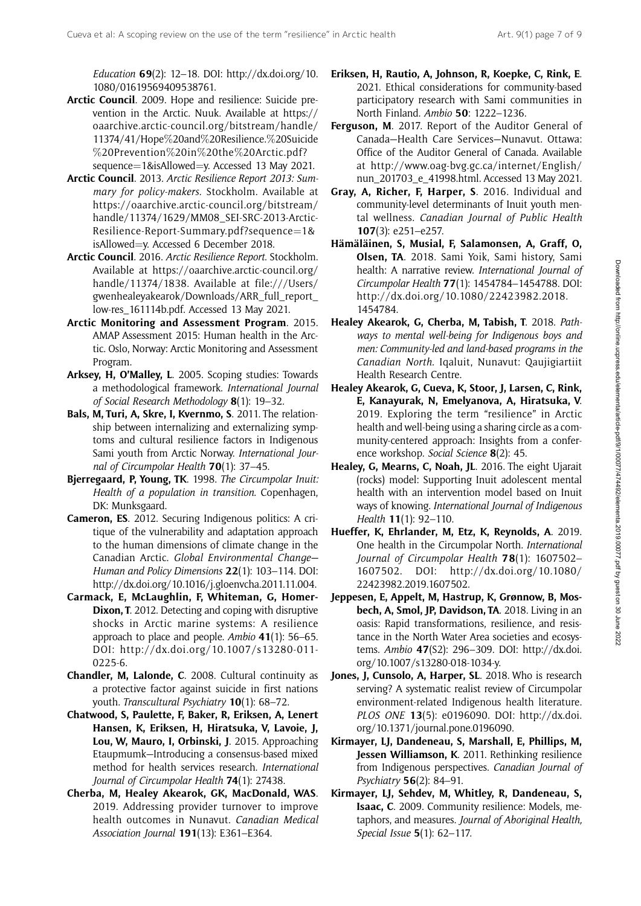Education  $69(2)$ : 12-18. DOI: [http://dx.doi.org/10.](http://dx.doi.org/10.1080/01619569409538761) [1080/01619569409538761.](http://dx.doi.org/10.1080/01619569409538761)

- Arctic Council. 2009. Hope and resilience: Suicide prevention in the Arctic. Nuuk. Available at [https://](https://oaarchive.arctic-council.org/bitstream/handle/11374/41/Hope%20and%20Resilience.%20Suicide%20Prevention%20in%20the%20Arctic.pdf?sequence=1&isAllowed=y) [oaarchive.arctic-council.org/bitstream/handle/](https://oaarchive.arctic-council.org/bitstream/handle/11374/41/Hope%20and%20Resilience.%20Suicide%20Prevention%20in%20the%20Arctic.pdf?sequence=1&isAllowed=y) [11374/41/Hope](https://oaarchive.arctic-council.org/bitstream/handle/11374/41/Hope%20and%20Resilience.%20Suicide%20Prevention%20in%20the%20Arctic.pdf?sequence=1&isAllowed=y)%[20and](https://oaarchive.arctic-council.org/bitstream/handle/11374/41/Hope%20and%20Resilience.%20Suicide%20Prevention%20in%20the%20Arctic.pdf?sequence=1&isAllowed=y)%[20Resilience.](https://oaarchive.arctic-council.org/bitstream/handle/11374/41/Hope%20and%20Resilience.%20Suicide%20Prevention%20in%20the%20Arctic.pdf?sequence=1&isAllowed=y)%[20Suicide](https://oaarchive.arctic-council.org/bitstream/handle/11374/41/Hope%20and%20Resilience.%20Suicide%20Prevention%20in%20the%20Arctic.pdf?sequence=1&isAllowed=y) %[20Prevention](https://oaarchive.arctic-council.org/bitstream/handle/11374/41/Hope%20and%20Resilience.%20Suicide%20Prevention%20in%20the%20Arctic.pdf?sequence=1&isAllowed=y)%[20in](https://oaarchive.arctic-council.org/bitstream/handle/11374/41/Hope%20and%20Resilience.%20Suicide%20Prevention%20in%20the%20Arctic.pdf?sequence=1&isAllowed=y)%[20the](https://oaarchive.arctic-council.org/bitstream/handle/11374/41/Hope%20and%20Resilience.%20Suicide%20Prevention%20in%20the%20Arctic.pdf?sequence=1&isAllowed=y)%[20Arctic.pdf?](https://oaarchive.arctic-council.org/bitstream/handle/11374/41/Hope%20and%20Resilience.%20Suicide%20Prevention%20in%20the%20Arctic.pdf?sequence=1&isAllowed=y) [sequence](https://oaarchive.arctic-council.org/bitstream/handle/11374/41/Hope%20and%20Resilience.%20Suicide%20Prevention%20in%20the%20Arctic.pdf?sequence=1&isAllowed=y)=[1&isAllowed](https://oaarchive.arctic-council.org/bitstream/handle/11374/41/Hope%20and%20Resilience.%20Suicide%20Prevention%20in%20the%20Arctic.pdf?sequence=1&isAllowed=y)=[y.](https://oaarchive.arctic-council.org/bitstream/handle/11374/41/Hope%20and%20Resilience.%20Suicide%20Prevention%20in%20the%20Arctic.pdf?sequence=1&isAllowed=y) Accessed 13 May 2021.
- Arctic Council. 2013. Arctic Resilience Report 2013: Summary for policy-makers. Stockholm. Available at [https://oaarchive.arctic-council.org/bitstream/](https://oaarchive.arctic-council.org/bitstream/handle/11374/1629/MM08_SEI-SRC-2013-Arctic-Resilience-Report-Summary.pdf?sequence=1&isAllowed=y) [handle/11374/1629/MM08\\_SEI-SRC-2013-Arctic-](https://oaarchive.arctic-council.org/bitstream/handle/11374/1629/MM08_SEI-SRC-2013-Arctic-Resilience-Report-Summary.pdf?sequence=1&isAllowed=y)[Resilience-Report-Summary.pdf?sequence](https://oaarchive.arctic-council.org/bitstream/handle/11374/1629/MM08_SEI-SRC-2013-Arctic-Resilience-Report-Summary.pdf?sequence=1&isAllowed=y)= $1&$ [isAllowed](https://oaarchive.arctic-council.org/bitstream/handle/11374/1629/MM08_SEI-SRC-2013-Arctic-Resilience-Report-Summary.pdf?sequence=1&isAllowed=y)=[y.](https://oaarchive.arctic-council.org/bitstream/handle/11374/1629/MM08_SEI-SRC-2013-Arctic-Resilience-Report-Summary.pdf?sequence=1&isAllowed=y) Accessed 6 December 2018.
- Arctic Council. 2016. Arctic Resilience Report. Stockholm. Available at [https://oaarchive.arctic-council.org/](https://oaarchive.arctic-council.org/handle/11374/1838) [handle/11374/1838.](https://oaarchive.arctic-council.org/handle/11374/1838) Available at file:///Users/ gwenhealeyakearok/Downloads/ARR\_full\_report\_ low-res\_161114b.pdf. Accessed 13 May 2021.
- Arctic Monitoring and Assessment Program. 2015. AMAP Assessment 2015: Human health in the Arctic. Oslo, Norway: Arctic Monitoring and Assessment Program.
- Arksey, H, O'Malley, L. 2005. Scoping studies: Towards a methodological framework. International Journal of Social Research Methodology 8(1): 19–32.
- Bals, M, Turi, A, Skre, I, Kvernmo, S. 2011. The relationship between internalizing and externalizing symptoms and cultural resilience factors in Indigenous Sami youth from Arctic Norway. International Journal of Circumpolar Health **70**(1): 37–45.
- Bjerregaard, P. Young, TK. 1998. The Circumpolar Inuit: Health of a population in transition. Copenhagen, DK: Munksgaard.
- Cameron, ES. 2012. Securing Indigenous politics: A critique of the vulnerability and adaptation approach to the human dimensions of climate change in the Canadian Arctic. Global Environmental Change— Human and Policy Dimensions 22(1): 103–114. DOI: <http://dx.doi.org/10.1016/j.gloenvcha.2011.11.004>.
- Carmack, E, McLaughlin, F, Whiteman, G, Homer-Dixon, T. 2012. Detecting and coping with disruptive shocks in Arctic marine systems: A resilience approach to place and people. Ambio  $41(1)$ : 56–65. DOI: [http://dx.doi.org/10.1007/s13280-011-](http://dx.doi.org/10.1007/s13280-011-0225-6) [0225-6](http://dx.doi.org/10.1007/s13280-011-0225-6).
- Chandler, M, Lalonde, C. 2008. Cultural continuity as a protective factor against suicide in first nations youth. Transcultural Psychiatry 10(1): 68–72.
- Chatwood, S, Paulette, F, Baker, R, Eriksen, A, Lenert Hansen, K, Eriksen, H, Hiratsuka, V, Lavoie, J, Lou, W, Mauro, I, Orbinski, J. 2015. Approaching Etaupmumk—Introducing a consensus-based mixed method for health services research. International Journal of Circumpolar Health **74**(1): 27438.
- Cherba, M, Healey Akearok, GK, MacDonald, WAS. 2019. Addressing provider turnover to improve health outcomes in Nunavut. Canadian Medical Association Journal 191(13): E361–E364.
- Eriksen, H, Rautio, A, Johnson, R, Koepke, C, Rink, E. 2021. Ethical considerations for community-based participatory research with Sami communities in North Finland. Ambio 50: 1222–1236.
- Ferguson, M. 2017. Report of the Auditor General of Canada—Health Care Services—Nunavut. Ottawa: Office of the Auditor General of Canada. Available at [http://www.oag-bvg.gc.ca/internet/English/](http://www.oag-bvg.gc.ca/internet/English/nun_201703_e_41998.html) [nun\\_201703\\_e\\_41998.html.](http://www.oag-bvg.gc.ca/internet/English/nun_201703_e_41998.html) Accessed 13 May 2021.
- Gray, A, Richer, F, Harper, S. 2016. Individual and community-level determinants of Inuit youth mental wellness. Canadian Journal of Public Health 107(3): e251–e257.
- Hämäläinen, S, Musial, F, Salamonsen, A, Graff, O, Olsen, TA. 2018. Sami Yoik, Sami history, Sami health: A narrative review. International Journal of Circumpolar Health 77(1): 1454784–1454788. DOI: [http://dx.doi.org/10.1080/22423982.2018.](http://dx.doi.org/10.1080/22423982.2018.1454784) [1454784.](http://dx.doi.org/10.1080/22423982.2018.1454784)
- Healey Akearok, G, Cherba, M, Tabish, T. 2018. Pathways to mental well-being for Indigenous boys and men: Community-led and land-based programs in the Canadian North. Iqaluit, Nunavut: Qaujigiartiit Health Research Centre.
- Healey Akearok, G, Cueva, K, Stoor, J, Larsen, C, Rink, E, Kanayurak, N, Emelyanova, A, Hiratsuka, V. 2019. Exploring the term "resilience" in Arctic health and well-being using a sharing circle as a community-centered approach: Insights from a conference workshop. Social Science 8(2): 45.
- Healey, G, Mearns, C, Noah, JL. 2016. The eight Ujarait (rocks) model: Supporting Inuit adolescent mental health with an intervention model based on Inuit ways of knowing. International Journal of Indigenous Health 11(1): 92–110.
- Hueffer, K, Ehrlander, M, Etz, K, Reynolds, A. 2019. One health in the Circumpolar North. International Journal of Circumpolar Health 78(1): 1607502– 1607502. DOI: [http://dx.doi.org/10.1080/](http://dx.doi.org/10.1080/22423982.2019.1607502) [22423982.2019.1607502](http://dx.doi.org/10.1080/22423982.2019.1607502).
- Jeppesen, E, Appelt, M, Hastrup, K, Grønnow, B, Mosbech, A, Smol, JP, Davidson, TA. 2018. Living in an oasis: Rapid transformations, resilience, and resistance in the North Water Area societies and ecosystems. Ambio 47(S2): 296–309. DOI: [http://dx.doi.](http://dx.doi.org/10.1007/s13280-018-1034-y) [org/10.1007/s13280-018-1034-y.](http://dx.doi.org/10.1007/s13280-018-1034-y)
- Jones, J, Cunsolo, A, Harper, SL. 2018. Who is research serving? A systematic realist review of Circumpolar environment-related Indigenous health literature. PLOS ONE 13(5): e0196090. DOI: [http://dx.doi.](http://dx.doi.org/10.1371/journal.pone.0196090) [org/10.1371/journal.pone.0196090](http://dx.doi.org/10.1371/journal.pone.0196090).
- Kirmayer, LJ, Dandeneau, S, Marshall, E, Phillips, M, Jessen Williamson, K. 2011. Rethinking resilience from Indigenous perspectives. Canadian Journal of Psychiatry 56(2): 84–91.
- Kirmayer, LJ, Sehdev, M, Whitley, R, Dandeneau, S, Isaac, C. 2009. Community resilience: Models, metaphors, and measures. Journal of Aboriginal Health, Special Issue 5(1): 62–117.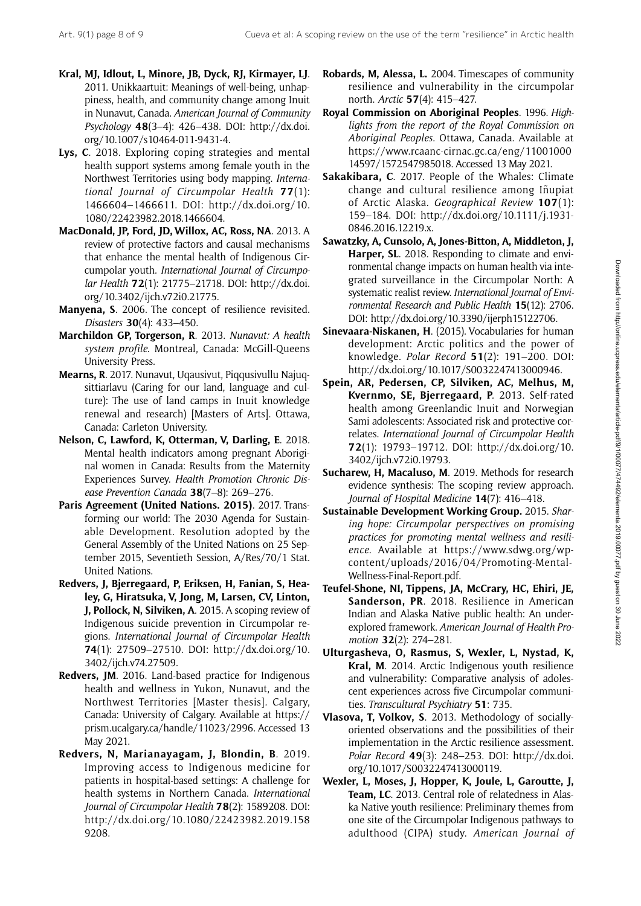- Kral, MJ, Idlout, L, Minore, JB, Dyck, RJ, Kirmayer, LJ. 2011. Unikkaartuit: Meanings of well-being, unhappiness, health, and community change among Inuit in Nunavut, Canada. American Journal of Community Psychology 48(3–4): 426–438. DOI: [http://dx.doi.](http://dx.doi.org/10.1007/s10464-011-9431-4) [org/10.1007/s10464-011-9431-4](http://dx.doi.org/10.1007/s10464-011-9431-4).
- Lys, C. 2018. Exploring coping strategies and mental health support systems among female youth in the Northwest Territories using body mapping. International Journal of Circumpolar Health  $77(1)$ : 1466604–1466611. DOI: [http://dx.doi.org/10.](http://dx.doi.org/10.1080/22423982.2018.1466604) [1080/22423982.2018.1466604.](http://dx.doi.org/10.1080/22423982.2018.1466604)
- MacDonald, JP, Ford, JD, Willox, AC, Ross, NA. 2013. A review of protective factors and causal mechanisms that enhance the mental health of Indigenous Circumpolar youth. International Journal of Circumpolar Health 72(1): 21775–21718. DOI: [http://dx.doi.](http://dx.doi.org/10.3402/ijch.v72i0.21775) [org/10.3402/ijch.v72i0.21775](http://dx.doi.org/10.3402/ijch.v72i0.21775).
- Manyena, S. 2006. The concept of resilience revisited. Disasters 30(4): 433–450.
- Marchildon GP, Torgerson, R. 2013. Nunavut: A health system profile. Montreal, Canada: McGill-Queens University Press.
- Mearns, R. 2017. Nunavut, Uqausivut, Piqqusivullu Najuqsittiarlavu (Caring for our land, language and culture): The use of land camps in Inuit knowledge renewal and research) [Masters of Arts]. Ottawa, Canada: Carleton University.
- Nelson, C, Lawford, K, Otterman, V, Darling, E. 2018. Mental health indicators among pregnant Aboriginal women in Canada: Results from the Maternity Experiences Survey. Health Promotion Chronic Disease Prevention Canada 38(7–8): 269–276.
- Paris Agreement (United Nations. 2015). 2017. Transforming our world: The 2030 Agenda for Sustainable Development. Resolution adopted by the General Assembly of the United Nations on 25 September 2015, Seventieth Session, A/Res/70/1 Stat. United Nations.
- Redvers, J, Bjerregaard, P, Eriksen, H, Fanian, S, Healey, G, Hiratsuka, V, Jong, M, Larsen, CV, Linton, J, Pollock, N, Silviken, A. 2015. A scoping review of Indigenous suicide prevention in Circumpolar regions. International Journal of Circumpolar Health 74(1): 27509–27510. DOI: [http://dx.doi.org/10.](http://dx.doi.org/10.3402/ijch.v74.27509) [3402/ijch.v74.27509](http://dx.doi.org/10.3402/ijch.v74.27509).
- Redvers, JM. 2016. Land-based practice for Indigenous health and wellness in Yukon, Nunavut, and the Northwest Territories [Master thesis]. Calgary, Canada: University of Calgary. Available at [https://](https://prism.ucalgary.ca/handle/11023/2996) [prism.ucalgary.ca/handle/11023/2996](https://prism.ucalgary.ca/handle/11023/2996). Accessed 13 May 2021.
- Redvers, N, Marianayagam, J, Blondin, B. 2019. Improving access to Indigenous medicine for patients in hospital-based settings: A challenge for health systems in Northern Canada. International Journal of Circumpolar Health 78(2): 1589208. DOI: [http://dx.doi.org/10.1080/22423982.2019.158](http://dx.doi.org/10.1080/22423982.2019.1589208) [9208](http://dx.doi.org/10.1080/22423982.2019.1589208).
- Robards, M, Alessa, L. 2004. Timescapes of community resilience and vulnerability in the circumpolar north. Arctic 57(4): 415–427.
- Royal Commission on Aboriginal Peoples. 1996. Highlights from the report of the Royal Commission on Aboriginal Peoples. Ottawa, Canada. Available at [https://www.rcaanc-cirnac.gc.ca/eng/11001000](https://www.rcaanc-cirnac.gc.ca/eng/1100100014597/1572547985018) [14597/1572547985018](https://www.rcaanc-cirnac.gc.ca/eng/1100100014597/1572547985018). Accessed 13 May 2021.
- Sakakibara, C. 2017. People of the Whales: Climate change and cultural resilience among Iñupiat of Arctic Alaska. Geographical Review 107(1): 159–184. DOI: [http://dx.doi.org/10.1111/j.1931-](http://dx.doi.org/10.1111/j.1931-0846.2016.12219.x) [0846.2016.12219.x.](http://dx.doi.org/10.1111/j.1931-0846.2016.12219.x)
- Sawatzky, A, Cunsolo, A, Jones-Bitton, A, Middleton, J, Harper, SL. 2018. Responding to climate and environmental change impacts on human health via integrated surveillance in the Circumpolar North: A systematic realist review. International Journal of Environmental Research and Public Health 15(12): 2706. DOI:<http://dx.doi.org/10.3390/ijerph15122706>.
- Sinevaara-Niskanen, H. (2015). Vocabularies for human development: Arctic politics and the power of knowledge. Polar Record 51(2): 191–200. DOI: <http://dx.doi.org/10.1017/S0032247413000946>.
- Spein, AR, Pedersen, CP, Silviken, AC, Melhus, M, Kvernmo, SE, Bjerregaard, P. 2013. Self-rated health among Greenlandic Inuit and Norwegian Sami adolescents: Associated risk and protective correlates. International Journal of Circumpolar Health 72(1): 19793–19712. DOI: [http://dx.doi.org/10.](http://dx.doi.org/10.3402/ijch.v72i0.19793) [3402/ijch.v72i0.19793](http://dx.doi.org/10.3402/ijch.v72i0.19793).
- Sucharew, H, Macaluso, M. 2019. Methods for research evidence synthesis: The scoping review approach. Journal of Hospital Medicine 14(7): 416–418.
- Sustainable Development Working Group. 2015. Sharing hope: Circumpolar perspectives on promising practices for promoting mental wellness and resilience. Available at [https://www.sdwg.org/wp](https://www.sdwg.org/wp-content/uploads/2016/04/Promoting-Mental-Wellness-Final-Report.pdf)[content/uploads/2016/04/Promoting-Mental-](https://www.sdwg.org/wp-content/uploads/2016/04/Promoting-Mental-Wellness-Final-Report.pdf)[Wellness-Final-Report.pdf](https://www.sdwg.org/wp-content/uploads/2016/04/Promoting-Mental-Wellness-Final-Report.pdf).
- Teufel-Shone, NI, Tippens, JA, McCrary, HC, Ehiri, JE, Sanderson, PR. 2018. Resilience in American Indian and Alaska Native public health: An underexplored framework. American Journal of Health Promotion 32(2): 274–281.
- Ulturgasheva, O, Rasmus, S, Wexler, L, Nystad, K, Kral, M. 2014. Arctic Indigenous youth resilience and vulnerability: Comparative analysis of adolescent experiences across five Circumpolar communities. Transcultural Psychiatry 51: 735.
- Vlasova, T, Volkov, S. 2013. Methodology of sociallyoriented observations and the possibilities of their implementation in the Arctic resilience assessment. Polar Record 49(3): 248–253. DOI: [http://dx.doi.](http://dx.doi.org/10.1017/S0032247413000119) [org/10.1017/S0032247413000119](http://dx.doi.org/10.1017/S0032247413000119).
- Wexler, L, Moses, J, Hopper, K, Joule, L, Garoutte, J, Team, LC. 2013. Central role of relatedness in Alaska Native youth resilience: Preliminary themes from one site of the Circumpolar Indigenous pathways to adulthood (CIPA) study. American Journal of